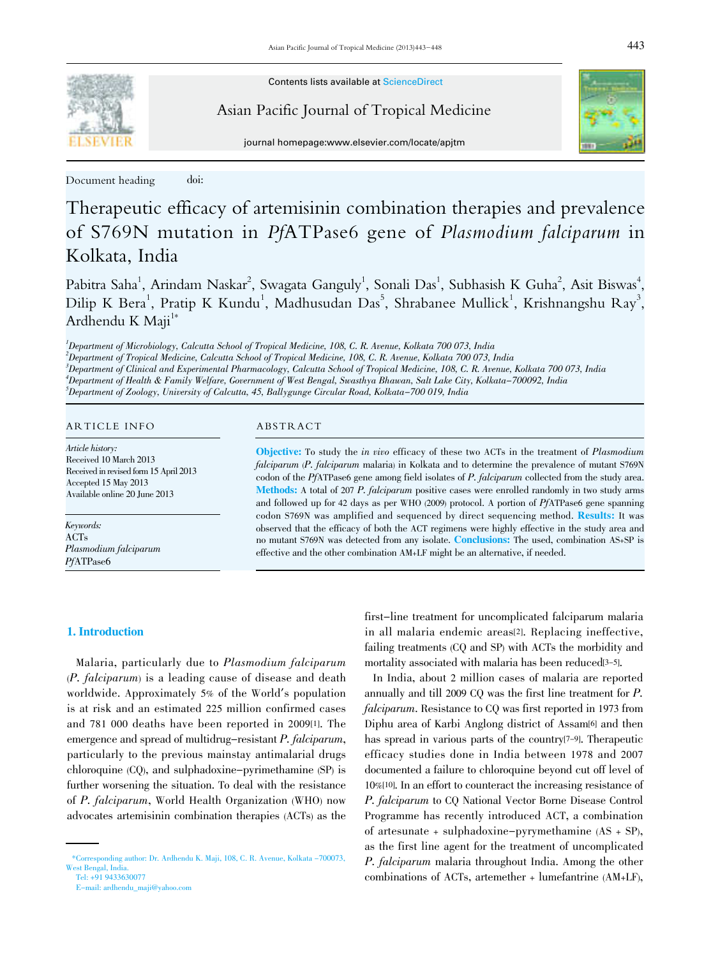Contents lists available at ScienceDirect



Asian Pacific Journal of Tropical Medicine



journal homepage:www.elsevier.com/locate/apjtm

Document heading doi:

# Therapeutic efficacy of artemisinin combination therapies and prevalence of S769N mutation in PfATPase6 gene of Plasmodium falciparum in Kolkata, India

Pabitra Saha<sup>1</sup>, Arindam Naskar<sup>2</sup>, Swagata Ganguly<sup>1</sup>, Sonali Das<sup>1</sup>, Subhasish K Guha<sup>2</sup>, Asit Biswas<sup>4</sup>, Dilip K Bera<sup>1</sup>, Pratip K Kundu<sup>1</sup>, Madhusudan Das<sup>5</sup>, Shrabanee Mullick<sup>1</sup>, Krishnangshu Ray<sup>3</sup>, Ardhendu K Maji<sup>1\*</sup>

1 Department of Microbiology, Calcutta School of Tropical Medicine, 108, C. R. Avenue, Kolkata 700 073, India

 Department of Tropical Medicine, Calcutta School of Tropical Medicine, 108, C. R. Avenue, Kolkata 700 073, India Department of Clinical and Experimental Pharmacology, Calcutta School of Tropical Medicine, 108, C. R. Avenue, Kolkata 700 073, India Department of Health & Family Welfare, Government of West Bengal, Swasthya Bhawan, Salt Lake City, Kolkata-700092, India  $^5$ Department of Zoology, University of Calcutta, 45, Ballygunge Circular Road, Kolkata–700 019, India

# ARTICLE INFO ABSTRACT

Article history: Received 10 March 2013 Received in revised form 15 April 2013 Accepted 15 May 2013 Available online 20 June 2013

Keywords: ACTs Plasmodium falciparum PfATPase6

Objective: To study the in vivo efficacy of these two ACTs in the treatment of Plasmodium falciparum (P. falciparum malaria) in Kolkata and to determine the prevalence of mutant S769N codon of the PfATPase6 gene among field isolates of P. falciparum collected from the study area. Methods: A total of 207 P. falciparum positive cases were enrolled randomly in two study arms and followed up for 42 days as per WHO (2009) protocol. A portion of PfATPase6 gene spanning codon S769N was amplified and sequenced by direct sequencing method. Results: It was observed that the efficacy of both the ACT regimens were highly effective in the study area and no mutant S769N was detected from any isolate. Conclusions: The used, combination AS+SP is effective and the other combination AM+LF might be an alternative, if needed.

# 1. Introduction

 Malaria, particularly due to Plasmodium falciparum (P. falciparum) is a leading cause of disease and death worldwide. Approximately 5% of the World's population is at risk and an estimated 225 million confirmed cases and 781 000 deaths have been reported in 2009[1]. The emergence and spread of multidrug-resistant P. falciparum, particularly to the previous mainstay antimalarial drugs chloroquine (CQ), and sulphadoxine-pyrimethamine (SP) is further worsening the situation. To deal with the resistance of P. falciparum, World Health Organization (WHO) now advocates artemisinin combination therapies (ACTs) as the

first-line treatment for uncomplicated falciparum malaria in all malaria endemic areas[2]. Replacing ineffective, failing treatments (CQ and SP) with ACTs the morbidity and mortality associated with malaria has been reduced<sup>[3-5]</sup>.

 In India, about 2 million cases of malaria are reported annually and till 2009 CQ was the first line treatment for P. falciparum. Resistance to CQ was first reported in 1973 from Diphu area of Karbi Anglong district of Assam[6] and then has spread in various parts of the country[7-9]. Therapeutic efficacy studies done in India between 1978 and 2007 documented a failure to chloroquine beyond cut off level of 10%[10]. In an effort to counteract the increasing resistance of P. falciparum to CQ National Vector Borne Disease Control Programme has recently introduced ACT, a combination of artesunate + sulphadoxine-pyrymethamine (AS + SP), as the first line agent for the treatment of uncomplicated P. falciparum malaria throughout India. Among the other combinations of ACTs, artemether + lumefantrine (AM+LF),

 <sup>\*</sup>Corresponding author: Dr. Ardhendu K. Maji, 108, C. R. Avenue, Kolkata -700073, West Bengal, India. Tel: +91 9433630077

E-mail: ardhendu\_maji@yahoo.com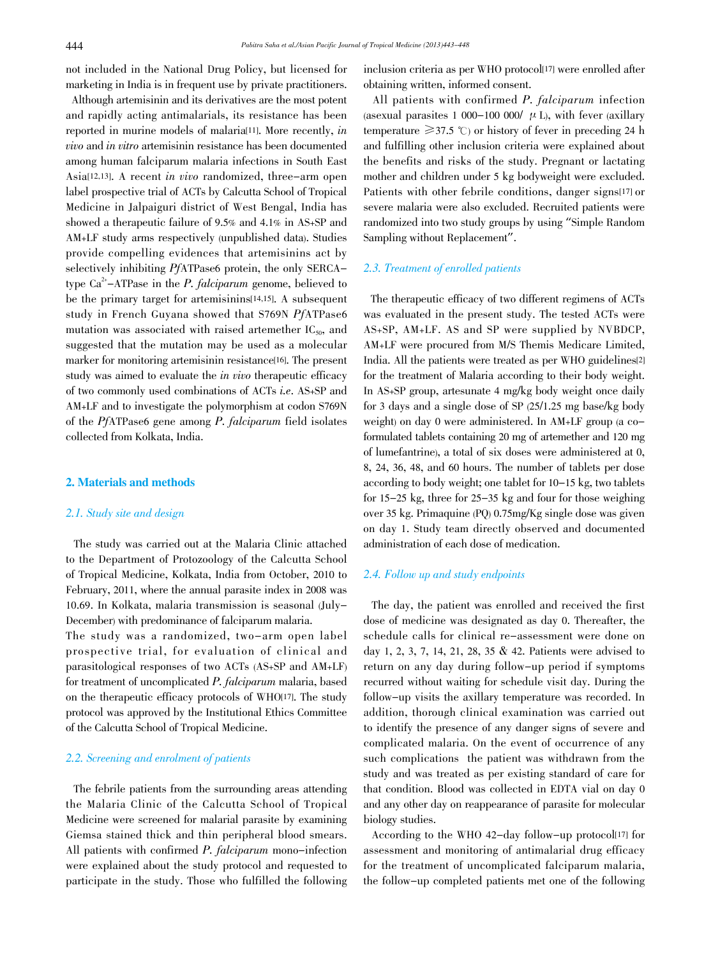not included in the National Drug Policy, but licensed for marketing in India is in frequent use by private practitioners.

 Although artemisinin and its derivatives are the most potent and rapidly acting antimalarials, its resistance has been reported in murine models of malaria<sup>[11]</sup>. More recently, *in* vivo and in vitro artemisinin resistance has been documented among human falciparum malaria infections in South East Asia[12,13]. A recent in vivo randomized, three-arm open label prospective trial of ACTs by Calcutta School of Tropical Medicine in Jalpaiguri district of West Bengal, India has showed a therapeutic failure of 9.5% and 4.1% in AS+SP and AM+LF study arms respectively (unpublished data). Studies provide compelling evidences that artemisinins act by selectively inhibiting *PfATPase6* protein, the only SERCAtype  $Ca^{2+}$ -ATPase in the *P. falciparum* genome, believed to be the primary target for artemisinins[14,15]. A subsequent study in French Guyana showed that S769N PfATPase6 mutation was associated with raised artemether  $IC_{50}$ , and suggested that the mutation may be used as a molecular marker for monitoring artemisinin resistance[16]. The present study was aimed to evaluate the in vivo therapeutic efficacy of two commonly used combinations of ACTs i.e. AS+SP and AM+LF and to investigate the polymorphism at codon S769N of the PfATPase6 gene among P. falciparum field isolates collected from Kolkata, India.

# 2. Materials and methods

# 2.1. Study site and design

 The study was carried out at the Malaria Clinic attached to the Department of Protozoology of the Calcutta School of Tropical Medicine, Kolkata, India from October, 2010 to February, 2011, where the annual parasite index in 2008 was 10.69. In Kolkata, malaria transmission is seasonal (July-December) with predominance of falciparum malaria.

The study was a randomized, two-arm open label prospective trial, for evaluation of clinical and parasitological responses of two ACTs (AS+SP and AM+LF) for treatment of uncomplicated P. falciparum malaria, based on the therapeutic efficacy protocols of WHO[17]. The study protocol was approved by the Institutional Ethics Committee of the Calcutta School of Tropical Medicine.

# 2.2. Screening and enrolment of patients

 The febrile patients from the surrounding areas attending the Malaria Clinic of the Calcutta School of Tropical Medicine were screened for malarial parasite by examining Giemsa stained thick and thin peripheral blood smears. All patients with confirmed P. falciparum mono-infection were explained about the study protocol and requested to participate in the study. Those who fulfilled the following inclusion criteria as per WHO protocol<sup>[17]</sup> were enrolled after obtaining written, informed consent.

 All patients with confirmed P. falciparum infection (asexual parasites 1 000-100 000/  $\mu$  L), with fever (axillary temperature  $\geq 37.5$  °C) or history of fever in preceding 24 h and fulfilling other inclusion criteria were explained about the benefits and risks of the study. Pregnant or lactating mother and children under 5 kg bodyweight were excluded. Patients with other febrile conditions, danger signs[17] or severe malaria were also excluded. Recruited patients were randomized into two study groups by using "Simple Random Sampling without Replacement".

### 2.3. Treatment of enrolled patients

 The therapeutic efficacy of two different regimens of ACTs was evaluated in the present study. The tested ACTs were AS+SP, AM+LF. AS and SP were supplied by NVBDCP, AM+LF were procured from M/S Themis Medicare Limited, India. All the patients were treated as per WHO guidelines[2] for the treatment of Malaria according to their body weight. In AS+SP group, artesunate 4 mg/kg body weight once daily for 3 days and a single dose of SP (25/1.25 mg base/kg body weight) on day 0 were administered. In AM+LF group (a coformulated tablets containing 20 mg of artemether and 120 mg of lumefantrine), a total of six doses were administered at 0, 8, 24, 36, 48, and 60 hours. The number of tablets per dose according to body weight; one tablet for 10-15 kg, two tablets for 15-25 kg, three for 25-35 kg and four for those weighing over 35 kg. Primaquine (PQ) 0.75mg/Kg single dose was given on day 1. Study team directly observed and documented administration of each dose of medication.

#### 2.4. Follow up and study endpoints

 The day, the patient was enrolled and received the first dose of medicine was designated as day 0. Thereafter, the schedule calls for clinical re-assessment were done on day 1, 2, 3, 7, 14, 21, 28, 35 & 42. Patients were advised to return on any day during follow-up period if symptoms recurred without waiting for schedule visit day. During the follow-up visits the axillary temperature was recorded. In addition, thorough clinical examination was carried out to identify the presence of any danger signs of severe and complicated malaria. On the event of occurrence of any such complications the patient was withdrawn from the study and was treated as per existing standard of care for that condition. Blood was collected in EDTA vial on day 0 and any other day on reappearance of parasite for molecular biology studies.

 According to the WHO 42-day follow-up protocol[17] for assessment and monitoring of antimalarial drug efficacy for the treatment of uncomplicated falciparum malaria, the follow-up completed patients met one of the following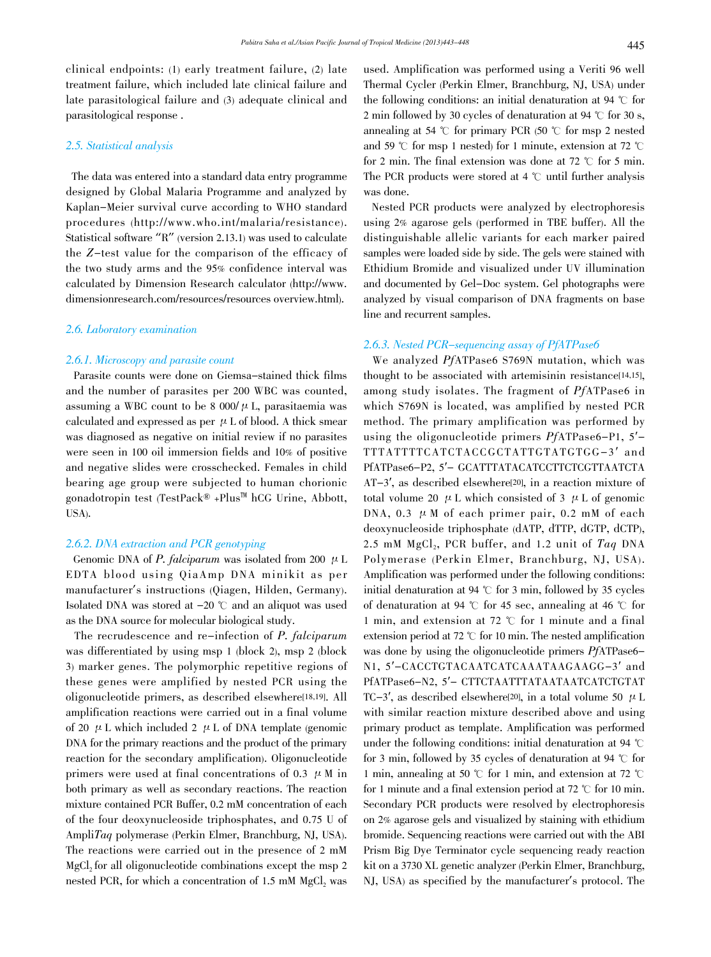clinical endpoints: (1) early treatment failure, (2) late treatment failure, which included late clinical failure and late parasitological failure and (3) adequate clinical and parasitological response .

### 2.5. Statistical analysis

 The data was entered into a standard data entry programme designed by Global Malaria Programme and analyzed by Kaplan-Meier survival curve according to WHO standard procedures (http://www.who.int/malaria/resistance). Statistical software "R" (version 2.13.1) was used to calculate the Z-test value for the comparison of the efficacy of the two study arms and the 95% confidence interval was calculated by Dimension Research calculator (http://www. dimensionresearch.com/resources/resources overview.html).

# 2.6. Laboratory examination

#### 2.6.1. Microscopy and parasite count

 Parasite counts were done on Giemsa-stained thick films and the number of parasites per 200 WBC was counted, assuming a WBC count to be 8 000/ $\mu$  L, parasitaemia was calculated and expressed as per  $\mu$  L of blood. A thick smear was diagnosed as negative on initial review if no parasites were seen in 100 oil immersion fields and 10% of positive and negative slides were crosschecked. Females in child bearing age group were subjected to human chorionic gonadotropin test (TestPack® +Plus™ hCG Urine, Abbott, USA).

#### 2.6.2. DNA extraction and PCR genotyping

Genomic DNA of P. falciparum was isolated from 200  $\mu$  L EDTA blood using QiaAmp DNA minikit as per manufacturer's instructions (Qiagen, Hilden, Germany). Isolated DNA was stored at  $-20$  °C and an aliquot was used as the DNA source for molecular biological study.

 The recrudescence and re-infection of P. falciparum was differentiated by using msp 1 (block 2), msp 2 (block 3) marker genes. The polymorphic repetitive regions of these genes were amplified by nested PCR using the oligonucleotide primers, as described elsewhere[18,19]. All amplification reactions were carried out in a final volume of 20  $\mu$  L which included 2  $\mu$  L of DNA template (genomic DNA for the primary reactions and the product of the primary reaction for the secondary amplification). Oligonucleotide primers were used at final concentrations of 0.3  $\mu$  M in both primary as well as secondary reactions. The reaction mixture contained PCR Buffer, 0.2 mM concentration of each of the four deoxynucleoside triphosphates, and 0.75 U of AmpliTaq polymerase (Perkin Elmer, Branchburg, NJ, USA). The reactions were carried out in the presence of 2 mM MgCl<sub>2</sub> for all oligonucleotide combinations except the msp 2 nested PCR, for which a concentration of 1.5 mM MgCl, was

used. Amplification was performed using a Veriti 96 well Thermal Cycler (Perkin Elmer, Branchburg, NJ, USA) under the following conditions: an initial denaturation at 94  $\degree$ C for 2 min followed by 30 cycles of denaturation at 94  $\degree$ C for 30 s, annealing at 54  $\degree$  for primary PCR (50  $\degree$  for msp 2 nested and 59  $\degree$ C for msp 1 nested) for 1 minute, extension at 72  $\degree$ C for 2 min. The final extension was done at 72  $\degree$ C for 5 min. The PCR products were stored at 4  $\degree$ C until further analysis was done.

 Nested PCR products were analyzed by electrophoresis using 2% agarose gels (performed in TBE buffer). All the distinguishable allelic variants for each marker paired samples were loaded side by side. The gels were stained with Ethidium Bromide and visualized under UV illumination and documented by Gel-Doc system. Gel photographs were analyzed by visual comparison of DNA fragments on base line and recurrent samples.

# 2.6.3. Nested PCR-sequencing assay of PfATPase6

 We analyzed PfATPase6 S769N mutation, which was thought to be associated with artemisinin resistance[14,15], among study isolates. The fragment of PfATPase6 in which S769N is located, was amplified by nested PCR method. The primary amplification was performed by using the oligonucleotide primers PfATPase6-P1, 5′- TTTATTTTCATCTACCGCTATTGTATGTGG-3′ and PfATPase6-P2, 5'- GCATTTATACATCCTTCTCGTTAATCTA AT-3′, as described elsewhere[20], in a reaction mixture of total volume 20  $\mu$  L which consisted of 3  $\mu$  L of genomic DNA, 0.3  $\mu$  M of each primer pair, 0.2 mM of each deoxynucleoside triphosphate (dATP, dTTP, dGTP, dCTP), 2.5 mM  $MgCl<sub>2</sub>$ , PCR buffer, and 1.2 unit of  $Tag$  DNA Polymerase (Perkin Elmer, Branchburg, NJ, USA). Amplification was performed under the following conditions: initial denaturation at 94  $\degree$ C for 3 min, followed by 35 cycles of denaturation at 94  $\degree$ C for 45 sec, annealing at 46  $\degree$ C for 1 min, and extension at 72  $\degree$  for 1 minute and a final extension period at 72  $\degree$ C for 10 min. The nested amplification was done by using the oligonucleotide primers PfATPase6-N1, 5′-CACCTGTACAATCATCAAATAAGAAGG-3′ and PfATPase6-N2, 5′- CTTCTAATTTATAATAATCATCTGTAT TC-3', as described elsewhere<sup>[20]</sup>, in a total volume 50  $\mu$  L with similar reaction mixture described above and using primary product as template. Amplification was performed under the following conditions: initial denaturation at 94  $\degree$ C for 3 min, followed by 35 cycles of denaturation at 94  $\degree$ C for 1 min, annealing at 50  $\degree$  for 1 min, and extension at 72  $\degree$ C for 1 minute and a final extension period at 72  $\degree$ C for 10 min. Secondary PCR products were resolved by electrophoresis on 2% agarose gels and visualized by staining with ethidium bromide. Sequencing reactions were carried out with the ABI Prism Big Dye Terminator cycle sequencing ready reaction kit on a 3730 XL genetic analyzer (Perkin Elmer, Branchburg, NJ, USA) as specified by the manufacturer's protocol. The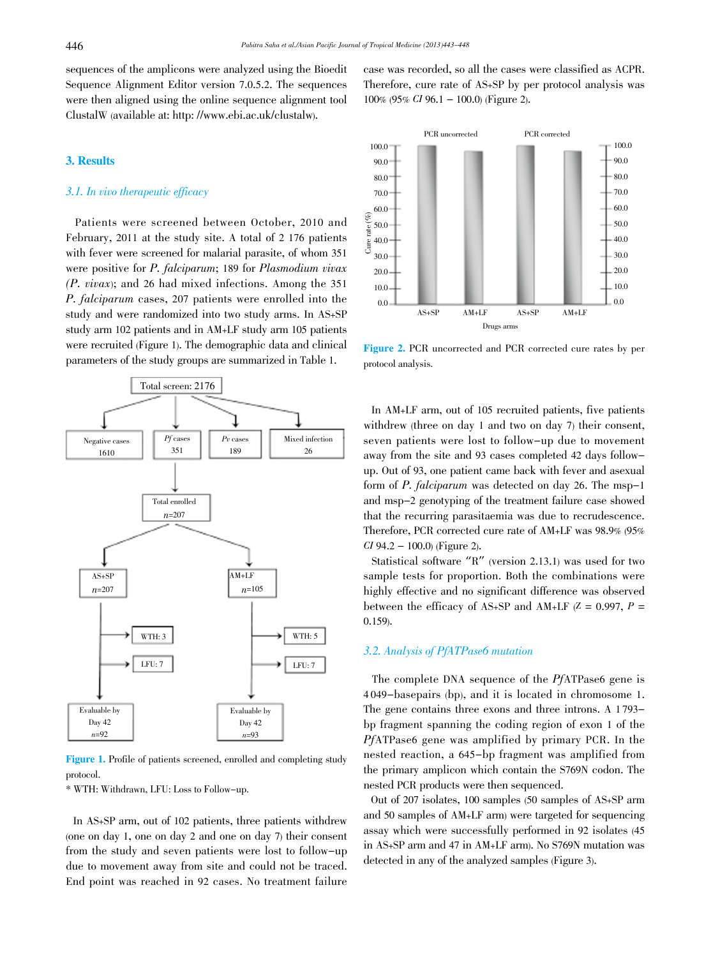sequences of the amplicons were analyzed using the Bioedit Sequence Alignment Editor version 7.0.5.2. The sequences were then aligned using the online sequence alignment tool ClustalW (available at: http: //www.ebi.ac.uk/clustalw).

# 3. Results

### 3.1. In vivo therapeutic efficacy

 Patients were screened between October, 2010 and February, 2011 at the study site. A total of 2 176 patients with fever were screened for malarial parasite, of whom 351 were positive for *P. falciparum*; 189 for *Plasmodium vivax* (P. vivax); and 26 had mixed infections. Among the 351 P. falciparum cases, 207 patients were enrolled into the study and were randomized into two study arms. In AS+SP study arm 102 patients and in AM+LF study arm 105 patients were recruited (Figure 1). The demographic data and clinical parameters of the study groups are summarized in Table 1.



Figure 1. Profile of patients screened, enrolled and completing study protocol.

\* WTH: Withdrawn, LFU: Loss to Follow-up.

 In AS+SP arm, out of 102 patients, three patients withdrew (one on day 1, one on day 2 and one on day 7) their consent from the study and seven patients were lost to follow-up due to movement away from site and could not be traced. End point was reached in 92 cases. No treatment failure case was recorded, so all the cases were classified as ACPR. Therefore, cure rate of AS+SP by per protocol analysis was 100% (95% CI 96.1 - 100.0) (Figure 2).



Figure 2. PCR uncorrected and PCR corrected cure rates by per protocol analysis.

 In AM+LF arm, out of 105 recruited patients, five patients withdrew (three on day 1 and two on day 7) their consent, seven patients were lost to follow-up due to movement away from the site and 93 cases completed 42 days followup. Out of 93, one patient came back with fever and asexual form of P. falciparum was detected on day 26. The msp-1 and msp-2 genotyping of the treatment failure case showed that the recurring parasitaemia was due to recrudescence. Therefore, PCR corrected cure rate of AM+LF was 98.9% (95%  $CI$  94.2 – 100.0) (Figure 2).

 Statistical software "R" (version 2.13.1) was used for two sample tests for proportion. Both the combinations were highly effective and no significant difference was observed between the efficacy of AS+SP and AM+LF  $(Z = 0.997, P =$ 0.159).

# 3.2. Analysis of PfATPase6 mutation

 The complete DNA sequence of the PfATPase6 gene is 4 049-basepairs (bp), and it is located in chromosome 1. The gene contains three exons and three introns. A 1 793 bp fragment spanning the coding region of exon 1 of the PfATPase6 gene was amplified by primary PCR. In the nested reaction, a 645-bp fragment was amplified from the primary amplicon which contain the S769N codon. The nested PCR products were then sequenced.

 Out of 207 isolates, 100 samples (50 samples of AS+SP arm and 50 samples of AM+LF arm) were targeted for sequencing assay which were successfully performed in 92 isolates (45 in AS+SP arm and 47 in AM+LF arm). No S769N mutation was detected in any of the analyzed samples (Figure 3).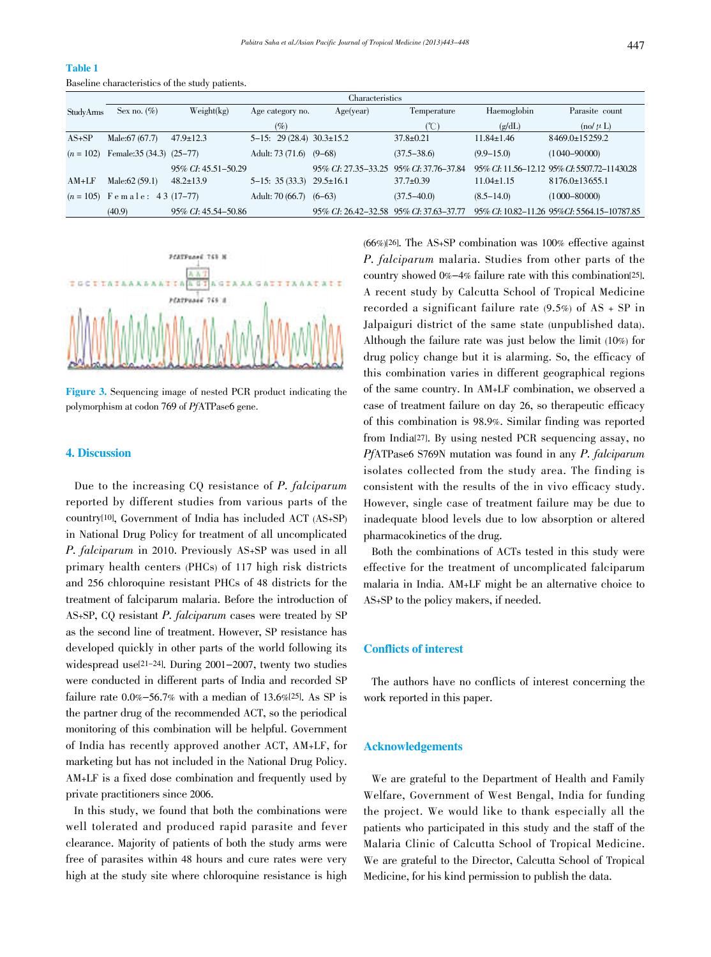# Table 1

Baseline characteristics of the study patients.

|             | Characteristics                |                      |                                |                                           |                     |                  |                                              |
|-------------|--------------------------------|----------------------|--------------------------------|-------------------------------------------|---------------------|------------------|----------------------------------------------|
| StudyArms   | Sex no. $(\% )$                | Weight(kg)           | Age category no.               | Age(year)                                 | Temperature         | Haemoglobin      | Parasite count                               |
|             |                                |                      | $(\%)$                         |                                           | $^{\circ}$ C)       | (g/dL)           | $\left(\text{no}/\mu\right)$                 |
| $AS+SP$     | Male: 67 (67.7)                | $47.9 \pm 12.3$      | $5-15$ : 29 (28.4) 30.3±15.2   |                                           | $37.8 \pm 0.21$     | $11.84 \pm 1.46$ | $8469.0 \pm 15259.2$                         |
| $(n = 102)$ | Female: $35(34.3)(25-77)$      |                      | Adult: 73 (71.6) (9–68)        |                                           | $(37.5 - 38.6)$     | $(9.9 - 15.0)$   | $(1040 - 90000)$                             |
|             |                                | 95\% CI: 45.51-50.29 |                                | 95\% CI: 27.35-33.25                      | 95% CI: 37.76-37.84 |                  | 95% CI: 11.56–12.12 95% CI: 5507.72–11430.28 |
| $AM+LF$     | Male: 62 (59.1)                | $48.2 \pm 13.9$      | $5-15: 35(33.3)$ $29.5\pm16.1$ |                                           | $37.7 \pm 0.39$     | $11.04 \pm 1.15$ | $8176.0 \pm 13655.1$                         |
|             | $(n = 105)$ Female: 43 (17-77) |                      | Adult: $70(66.7)$ $(6-63)$     |                                           | $(37.5 - 40.0)$     | $(8.5 - 14.0)$   | $(1000 - 80000)$                             |
|             | (40.9)                         | 95\% CI: 45.54-50.86 |                                | 95\% CI: 26.42-32.58 95\% CI: 37.63-37.77 |                     |                  | 95% CI: 10.82–11.26 95% CI: 5564.15–10787.85 |



Figure 3. Sequencing image of nested PCR product indicating the polymorphism at codon 769 of PfATPase6 gene.

### 4. Discussion

 Due to the increasing CQ resistance of P. falciparum reported by different studies from various parts of the country[10], Government of India has included ACT (AS+SP) in National Drug Policy for treatment of all uncomplicated P. falciparum in 2010. Previously AS+SP was used in all primary health centers (PHCs) of 117 high risk districts and 256 chloroquine resistant PHCs of 48 districts for the treatment of falciparum malaria. Before the introduction of AS+SP, CQ resistant P. falciparum cases were treated by SP as the second line of treatment. However, SP resistance has developed quickly in other parts of the world following its widespread use[21-24]. During 2001-2007, twenty two studies were conducted in different parts of India and recorded SP failure rate  $0.0\% - 56.7\%$  with a median of 13.6%[25]. As SP is the partner drug of the recommended ACT, so the periodical monitoring of this combination will be helpful. Government of India has recently approved another ACT, AM+LF, for marketing but has not included in the National Drug Policy. AM+LF is a fixed dose combination and frequently used by private practitioners since 2006.

 In this study, we found that both the combinations were well tolerated and produced rapid parasite and fever clearance. Majority of patients of both the study arms were free of parasites within 48 hours and cure rates were very high at the study site where chloroquine resistance is high (66%)[26]. The AS+SP combination was 100% effective against P. falciparum malaria. Studies from other parts of the country showed 0%-4% failure rate with this combination[25]. A recent study by Calcutta School of Tropical Medicine recorded a significant failure rate (9.5%) of AS + SP in Jalpaiguri district of the same state (unpublished data). Although the failure rate was just below the limit (10%) for drug policy change but it is alarming. So, the efficacy of this combination varies in different geographical regions of the same country. In AM+LF combination, we observed a case of treatment failure on day 26, so therapeutic efficacy of this combination is 98.9%. Similar finding was reported from India[27]. By using nested PCR sequencing assay, no PfATPase6 S769N mutation was found in any P. falciparum isolates collected from the study area. The finding is consistent with the results of the in vivo efficacy study. However, single case of treatment failure may be due to inadequate blood levels due to low absorption or altered pharmacokinetics of the drug.

 Both the combinations of ACTs tested in this study were effective for the treatment of uncomplicated falciparum malaria in India. AM+LF might be an alternative choice to AS+SP to the policy makers, if needed.

# Conflicts of interest

 The authors have no conflicts of interest concerning the work reported in this paper.

### Acknowledgements

 We are grateful to the Department of Health and Family Welfare, Government of West Bengal, India for funding the project. We would like to thank especially all the patients who participated in this study and the staff of the Malaria Clinic of Calcutta School of Tropical Medicine. We are grateful to the Director, Calcutta School of Tropical Medicine, for his kind permission to publish the data.